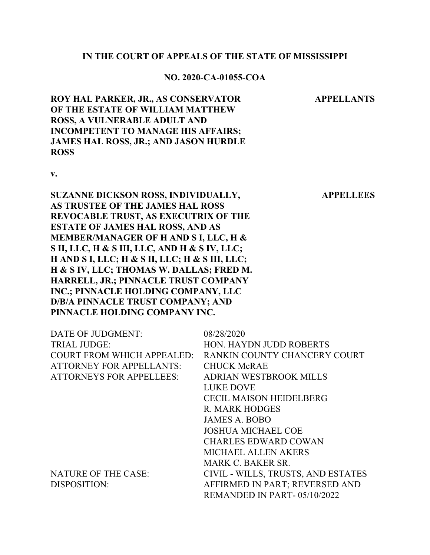#### **IN THE COURT OF APPEALS OF THE STATE OF MISSISSIPPI**

#### **NO. 2020-CA-01055-COA**

**APPELLANTS**

**APPELLEES**

**ROY HAL PARKER, JR., AS CONSERVATOR OF THE ESTATE OF WILLIAM MATTHEW ROSS, A VULNERABLE ADULT AND INCOMPETENT TO MANAGE HIS AFFAIRS; JAMES HAL ROSS, JR.; AND JASON HURDLE ROSS**

**v.**

**SUZANNE DICKSON ROSS, INDIVIDUALLY, AS TRUSTEE OF THE JAMES HAL ROSS REVOCABLE TRUST, AS EXECUTRIX OF THE ESTATE OF JAMES HAL ROSS, AND AS MEMBER/MANAGER OF H AND S I, LLC, H & S II, LLC, H & S III, LLC, AND H & S IV, LLC; H AND S I, LLC; H & S II, LLC; H & S III, LLC; H & S IV, LLC; THOMAS W. DALLAS; FRED M. HARRELL, JR.; PINNACLE TRUST COMPANY INC.; PINNACLE HOLDING COMPANY, LLC D/B/A PINNACLE TRUST COMPANY; AND PINNACLE HOLDING COMPANY INC.**

| DATE OF JUDGMENT:                 | 08/28/2020                         |
|-----------------------------------|------------------------------------|
| <b>TRIAL JUDGE:</b>               | HON. HAYDN JUDD ROBERTS            |
| <b>COURT FROM WHICH APPEALED:</b> | RANKIN COUNTY CHANCERY COURT       |
| <b>ATTORNEY FOR APPELLANTS:</b>   | <b>CHUCK McRAE</b>                 |
| <b>ATTORNEYS FOR APPELLEES:</b>   | <b>ADRIAN WESTBROOK MILLS</b>      |
|                                   | LUKE DOVE                          |
|                                   | <b>CECIL MAISON HEIDELBERG</b>     |
|                                   | R. MARK HODGES                     |
|                                   | <b>JAMES A. BOBO</b>               |
|                                   | <b>JOSHUA MICHAEL COE</b>          |
|                                   | <b>CHARLES EDWARD COWAN</b>        |
|                                   | <b>MICHAEL ALLEN AKERS</b>         |
|                                   | <b>MARK C. BAKER SR.</b>           |
| <b>NATURE OF THE CASE:</b>        | CIVIL - WILLS, TRUSTS, AND ESTATES |
| DISPOSITION:                      | AFFIRMED IN PART; REVERSED AND     |
|                                   | REMANDED IN PART-05/10/2022        |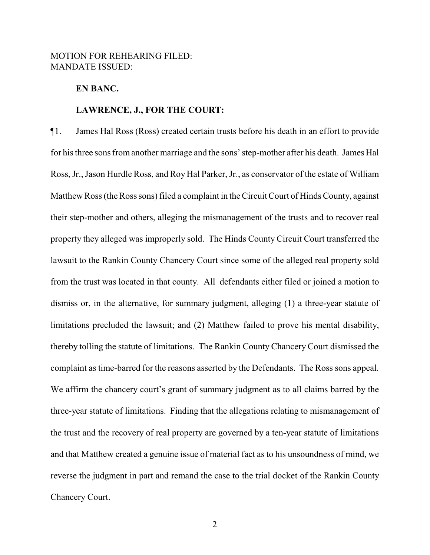# MOTION FOR REHEARING FILED: MANDATE ISSUED:

## **EN BANC.**

#### **LAWRENCE, J., FOR THE COURT:**

¶1. James Hal Ross (Ross) created certain trusts before his death in an effort to provide for his three sons fromanother marriage and the sons' step-mother after his death. James Hal Ross, Jr., Jason Hurdle Ross, and Roy Hal Parker, Jr., as conservator of the estate of William Matthew Ross (the Ross sons) filed a complaint in the Circuit Court of Hinds County, against their step-mother and others, alleging the mismanagement of the trusts and to recover real property they alleged was improperly sold. The Hinds County Circuit Court transferred the lawsuit to the Rankin County Chancery Court since some of the alleged real property sold from the trust was located in that county. All defendants either filed or joined a motion to dismiss or, in the alternative, for summary judgment, alleging (1) a three-year statute of limitations precluded the lawsuit; and (2) Matthew failed to prove his mental disability, thereby tolling the statute of limitations. The Rankin County Chancery Court dismissed the complaint as time-barred for the reasons asserted by the Defendants. The Ross sons appeal. We affirm the chancery court's grant of summary judgment as to all claims barred by the three-year statute of limitations. Finding that the allegations relating to mismanagement of the trust and the recovery of real property are governed by a ten-year statute of limitations and that Matthew created a genuine issue of material fact as to his unsoundness of mind, we reverse the judgment in part and remand the case to the trial docket of the Rankin County Chancery Court.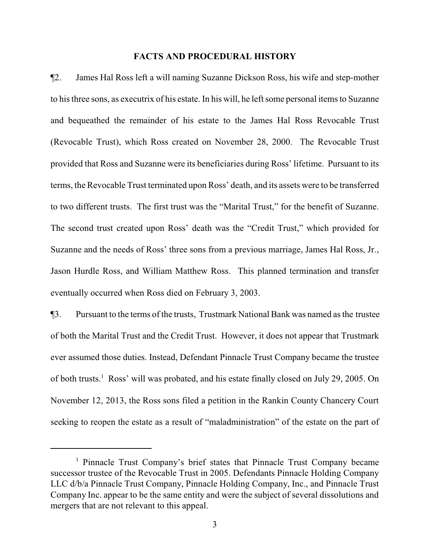#### **FACTS AND PROCEDURAL HISTORY**

¶2. James Hal Ross left a will naming Suzanne Dickson Ross, his wife and step-mother to his three sons, as executrix of his estate. In his will, he left some personal items to Suzanne and bequeathed the remainder of his estate to the James Hal Ross Revocable Trust (Revocable Trust), which Ross created on November 28, 2000. The Revocable Trust provided that Ross and Suzanne were its beneficiaries during Ross' lifetime. Pursuant to its terms, the Revocable Trust terminated upon Ross' death, and its assets were to be transferred to two different trusts. The first trust was the "Marital Trust," for the benefit of Suzanne. The second trust created upon Ross' death was the "Credit Trust," which provided for Suzanne and the needs of Ross' three sons from a previous marriage, James Hal Ross, Jr., Jason Hurdle Ross, and William Matthew Ross. This planned termination and transfer eventually occurred when Ross died on February 3, 2003.

¶3. Pursuant to the terms of the trusts, Trustmark National Bank was named as the trustee of both the Marital Trust and the Credit Trust. However, it does not appear that Trustmark ever assumed those duties. Instead, Defendant Pinnacle Trust Company became the trustee of both trusts.<sup>1</sup> Ross' will was probated, and his estate finally closed on July 29, 2005. On November 12, 2013, the Ross sons filed a petition in the Rankin County Chancery Court seeking to reopen the estate as a result of "maladministration" of the estate on the part of

<sup>1</sup> Pinnacle Trust Company's brief states that Pinnacle Trust Company became successor trustee of the Revocable Trust in 2005. Defendants Pinnacle Holding Company LLC d/b/a Pinnacle Trust Company, Pinnacle Holding Company, Inc., and Pinnacle Trust Company Inc. appear to be the same entity and were the subject of several dissolutions and mergers that are not relevant to this appeal.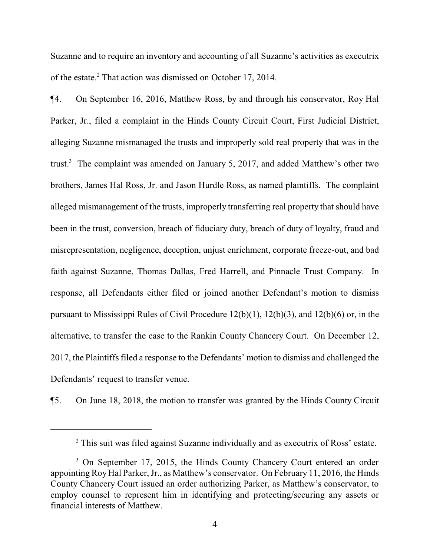Suzanne and to require an inventory and accounting of all Suzanne's activities as executrix of the estate.<sup>2</sup> That action was dismissed on October 17, 2014.

¶4. On September 16, 2016, Matthew Ross, by and through his conservator, Roy Hal Parker, Jr., filed a complaint in the Hinds County Circuit Court, First Judicial District, alleging Suzanne mismanaged the trusts and improperly sold real property that was in the trust.<sup>3</sup> The complaint was amended on January 5, 2017, and added Matthew's other two brothers, James Hal Ross, Jr. and Jason Hurdle Ross, as named plaintiffs. The complaint alleged mismanagement of the trusts, improperly transferring real property that should have been in the trust, conversion, breach of fiduciary duty, breach of duty of loyalty, fraud and misrepresentation, negligence, deception, unjust enrichment, corporate freeze-out, and bad faith against Suzanne, Thomas Dallas, Fred Harrell, and Pinnacle Trust Company. In response, all Defendants either filed or joined another Defendant's motion to dismiss pursuant to Mississippi Rules of Civil Procedure 12(b)(1), 12(b)(3), and 12(b)(6) or, in the alternative, to transfer the case to the Rankin County Chancery Court. On December 12, 2017, the Plaintiffs filed a response to the Defendants' motion to dismiss and challenged the Defendants' request to transfer venue.

¶5. On June 18, 2018, the motion to transfer was granted by the Hinds County Circuit

<sup>&</sup>lt;sup>2</sup> This suit was filed against Suzanne individually and as executrix of Ross' estate.

<sup>&</sup>lt;sup>3</sup> On September 17, 2015, the Hinds County Chancery Court entered an order appointing RoyHal Parker, Jr., as Matthew's conservator. On February 11, 2016, the Hinds County Chancery Court issued an order authorizing Parker, as Matthew's conservator, to employ counsel to represent him in identifying and protecting/securing any assets or financial interests of Matthew.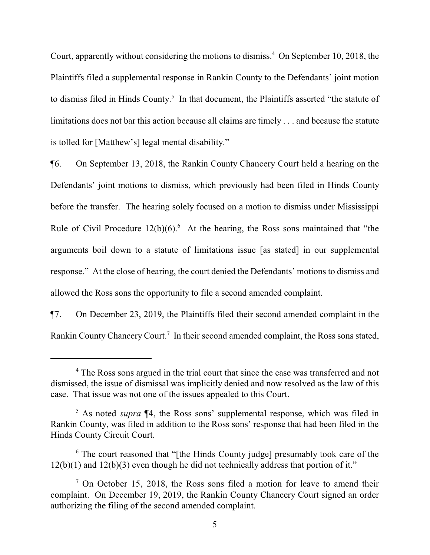Court, apparently without considering the motions to dismiss.<sup>4</sup> On September 10, 2018, the Plaintiffs filed a supplemental response in Rankin County to the Defendants' joint motion to dismiss filed in Hinds County.<sup>5</sup> In that document, the Plaintiffs asserted "the statute of limitations does not bar this action because all claims are timely . . . and because the statute is tolled for [Matthew's] legal mental disability."

¶6. On September 13, 2018, the Rankin County Chancery Court held a hearing on the Defendants' joint motions to dismiss, which previously had been filed in Hinds County before the transfer. The hearing solely focused on a motion to dismiss under Mississippi Rule of Civil Procedure  $12(b)(6)$ .<sup>6</sup> At the hearing, the Ross sons maintained that "the arguments boil down to a statute of limitations issue [as stated] in our supplemental response." At the close of hearing, the court denied the Defendants' motions to dismiss and allowed the Ross sons the opportunity to file a second amended complaint.

¶7. On December 23, 2019, the Plaintiffs filed their second amended complaint in the Rankin County Chancery Court.<sup>7</sup> In their second amended complaint, the Ross sons stated,

<sup>&</sup>lt;sup>4</sup> The Ross sons argued in the trial court that since the case was transferred and not dismissed, the issue of dismissal was implicitly denied and now resolved as the law of this case. That issue was not one of the issues appealed to this Court.

<sup>&</sup>lt;sup>5</sup> As noted *supra* ¶4, the Ross sons' supplemental response, which was filed in Rankin County, was filed in addition to the Ross sons' response that had been filed in the Hinds County Circuit Court.

<sup>&</sup>lt;sup>6</sup> The court reasoned that "[the Hinds County judge] presumably took care of the 12(b)(1) and 12(b)(3) even though he did not technically address that portion of it."

 $7$  On October 15, 2018, the Ross sons filed a motion for leave to amend their complaint. On December 19, 2019, the Rankin County Chancery Court signed an order authorizing the filing of the second amended complaint.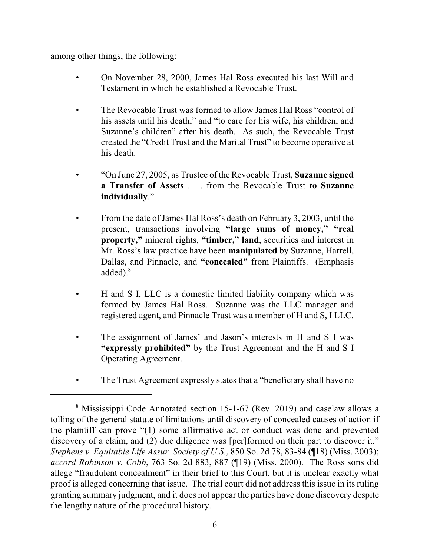among other things, the following:

- On November 28, 2000, James Hal Ross executed his last Will and Testament in which he established a Revocable Trust.
- The Revocable Trust was formed to allow James Hal Ross "control of his assets until his death," and "to care for his wife, his children, and Suzanne's children" after his death. As such, the Revocable Trust created the "Credit Trust and the Marital Trust" to become operative at his death.
- "On June 27, 2005, as Trustee of the Revocable Trust, **Suzanne signed a Transfer of Assets** . . . from the Revocable Trust **to Suzanne individually**."
- From the date of James Hal Ross's death on February 3, 2003, until the present, transactions involving **"large sums of money," "real property,"** mineral rights, **"timber," land**, securities and interest in Mr. Ross's law practice have been **manipulated** by Suzanne, Harrell, Dallas, and Pinnacle, and **"concealed"** from Plaintiffs. (Emphasis added). $8$
- H and S I, LLC is a domestic limited liability company which was formed by James Hal Ross. Suzanne was the LLC manager and registered agent, and Pinnacle Trust was a member of H and S, I LLC.
- The assignment of James' and Jason's interests in H and S I was **"expressly prohibited"** by the Trust Agreement and the H and S I Operating Agreement.
- The Trust Agreement expressly states that a "beneficiary shall have no

<sup>8</sup> Mississippi Code Annotated section 15-1-67 (Rev. 2019) and caselaw allows a tolling of the general statute of limitations until discovery of concealed causes of action if the plaintiff can prove "(1) some affirmative act or conduct was done and prevented discovery of a claim, and (2) due diligence was [per]formed on their part to discover it." *Stephens v. Equitable Life Assur. Society of U.S.*, 850 So. 2d 78, 83-84 (¶18) (Miss. 2003); *accord Robinson v. Cobb*, 763 So. 2d 883, 887 (¶19) (Miss. 2000). The Ross sons did allege "fraudulent concealment" in their brief to this Court, but it is unclear exactly what proof is alleged concerning that issue. The trial court did not address this issue in its ruling granting summary judgment, and it does not appear the parties have done discovery despite the lengthy nature of the procedural history.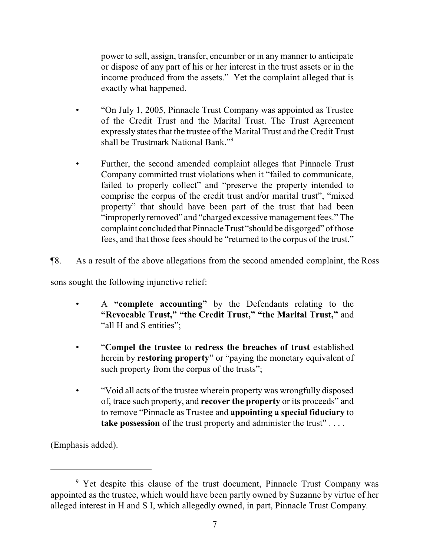power to sell, assign, transfer, encumber or in any manner to anticipate or dispose of any part of his or her interest in the trust assets or in the income produced from the assets." Yet the complaint alleged that is exactly what happened.

- "On July 1, 2005, Pinnacle Trust Company was appointed as Trustee of the Credit Trust and the Marital Trust. The Trust Agreement expressly states that the trustee of the Marital Trust and the Credit Trust shall be Trustmark National Bank."<sup>9</sup>
- Further, the second amended complaint alleges that Pinnacle Trust Company committed trust violations when it "failed to communicate, failed to properly collect" and "preserve the property intended to comprise the corpus of the credit trust and/or marital trust", "mixed property" that should have been part of the trust that had been "improperly removed" and "charged excessive management fees." The complaint concluded that Pinnacle Trust "should be disgorged" of those fees, and that those fees should be "returned to the corpus of the trust."

¶8. As a result of the above allegations from the second amended complaint, the Ross

sons sought the following injunctive relief:

- A **"complete accounting"** by the Defendants relating to the **"Revocable Trust," "the Credit Trust," "the Marital Trust,"** and "all H and S entities";
- "**Compel the trustee** to **redress the breaches of trust** established herein by **restoring property**" or "paying the monetary equivalent of such property from the corpus of the trusts";
- "Void all acts of the trustee wherein property was wrongfully disposed of, trace such property, and **recover the property** or its proceeds" and to remove "Pinnacle as Trustee and **appointing a special fiduciary** to **take possession** of the trust property and administer the trust"....

(Emphasis added).

<sup>&</sup>lt;sup>9</sup> Yet despite this clause of the trust document, Pinnacle Trust Company was appointed as the trustee, which would have been partly owned by Suzanne by virtue of her alleged interest in H and S I, which allegedly owned, in part, Pinnacle Trust Company.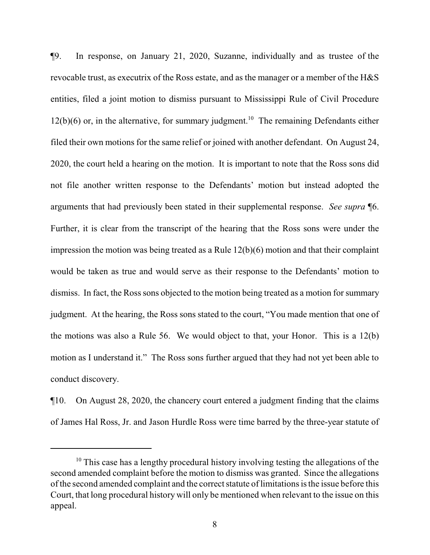¶9. In response, on January 21, 2020, Suzanne, individually and as trustee of the revocable trust, as executrix of the Ross estate, and as the manager or a member of the H&S entities, filed a joint motion to dismiss pursuant to Mississippi Rule of Civil Procedure  $12(b)(6)$  or, in the alternative, for summary judgment.<sup>10</sup> The remaining Defendants either filed their own motions for the same relief or joined with another defendant. On August 24, 2020, the court held a hearing on the motion. It is important to note that the Ross sons did not file another written response to the Defendants' motion but instead adopted the arguments that had previously been stated in their supplemental response. *See supra* ¶6. Further, it is clear from the transcript of the hearing that the Ross sons were under the impression the motion was being treated as a Rule 12(b)(6) motion and that their complaint would be taken as true and would serve as their response to the Defendants' motion to dismiss. In fact, the Ross sons objected to the motion being treated as a motion for summary judgment. At the hearing, the Ross sons stated to the court, "You made mention that one of the motions was also a Rule 56. We would object to that, your Honor. This is a 12(b) motion as I understand it." The Ross sons further argued that they had not yet been able to conduct discovery.

¶10. On August 28, 2020, the chancery court entered a judgment finding that the claims of James Hal Ross, Jr. and Jason Hurdle Ross were time barred by the three-year statute of

 $10$  This case has a lengthy procedural history involving testing the allegations of the second amended complaint before the motion to dismiss was granted. Since the allegations of the second amended complaint and the correct statute of limitations is the issue before this Court, that long procedural history will only be mentioned when relevant to the issue on this appeal.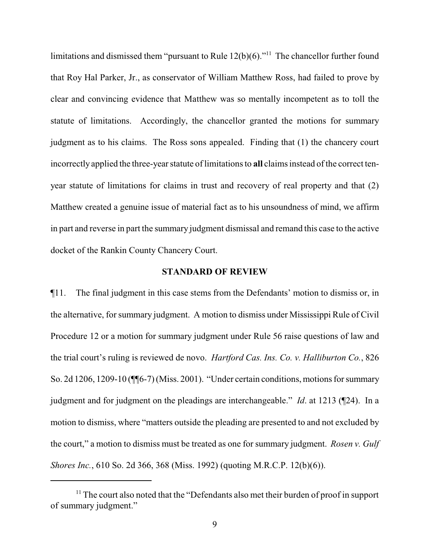limitations and dismissed them "pursuant to Rule  $12(b)(6)$ ."<sup>11</sup> The chancellor further found that Roy Hal Parker, Jr., as conservator of William Matthew Ross, had failed to prove by clear and convincing evidence that Matthew was so mentally incompetent as to toll the statute of limitations. Accordingly, the chancellor granted the motions for summary judgment as to his claims. The Ross sons appealed. Finding that (1) the chancery court incorrectly applied the three-year statute of limitations to **all** claims instead of the correct tenyear statute of limitations for claims in trust and recovery of real property and that (2) Matthew created a genuine issue of material fact as to his unsoundness of mind, we affirm in part and reverse in part the summary judgment dismissal and remand this case to the active docket of the Rankin County Chancery Court.

## **STANDARD OF REVIEW**

¶11. The final judgment in this case stems from the Defendants' motion to dismiss or, in the alternative, for summary judgment. A motion to dismiss under Mississippi Rule of Civil Procedure 12 or a motion for summary judgment under Rule 56 raise questions of law and the trial court's ruling is reviewed de novo. *Hartford Cas. Ins. Co. v. Halliburton Co.*, 826 So. 2d 1206, 1209-10 (¶¶6-7) (Miss. 2001). "Under certain conditions, motions for summary judgment and for judgment on the pleadings are interchangeable." *Id*. at 1213 (¶24). In a motion to dismiss, where "matters outside the pleading are presented to and not excluded by the court," a motion to dismiss must be treated as one for summary judgment. *Rosen v. Gulf Shores Inc.*, 610 So. 2d 366, 368 (Miss. 1992) (quoting M.R.C.P. 12(b)(6)).

<sup>&</sup>lt;sup>11</sup> The court also noted that the "Defendants also met their burden of proof in support of summary judgment."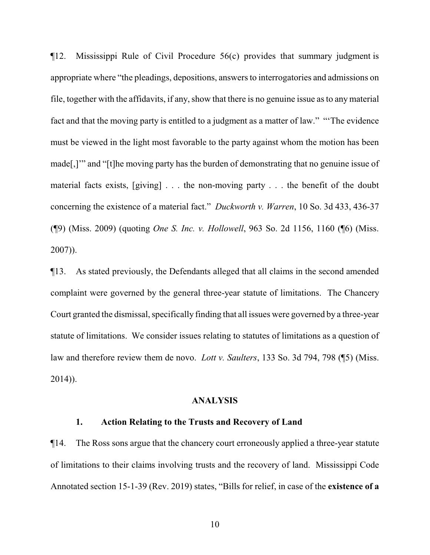¶12. Mississippi Rule of Civil Procedure 56(c) provides that summary judgment is appropriate where "the pleadings, depositions, answers to interrogatories and admissions on file, together with the affidavits, if any, show that there is no genuine issue as to any material fact and that the moving party is entitled to a judgment as a matter of law." "'The evidence must be viewed in the light most favorable to the party against whom the motion has been made[,]'" and "[t]he moving party has the burden of demonstrating that no genuine issue of material facts exists, [giving] . . . the non-moving party . . . the benefit of the doubt concerning the existence of a material fact." *Duckworth v. Warren*, 10 So. 3d 433, 436-37 (¶9) (Miss. 2009) (quoting *One S. Inc. v. Hollowell*, 963 So. 2d 1156, 1160 (¶6) (Miss. 2007)).

¶13. As stated previously, the Defendants alleged that all claims in the second amended complaint were governed by the general three-year statute of limitations. The Chancery Court granted the dismissal, specifically finding that all issues were governed by a three-year statute of limitations. We consider issues relating to statutes of limitations as a question of law and therefore review them de novo. *Lott v. Saulters*, 133 So. 3d 794, 798 (¶5) (Miss. 2014)).

#### **ANALYSIS**

## **1. Action Relating to the Trusts and Recovery of Land**

¶14. The Ross sons argue that the chancery court erroneously applied a three-year statute of limitations to their claims involving trusts and the recovery of land. Mississippi Code Annotated section 15-1-39 (Rev. 2019) states, "Bills for relief, in case of the **existence of a**

10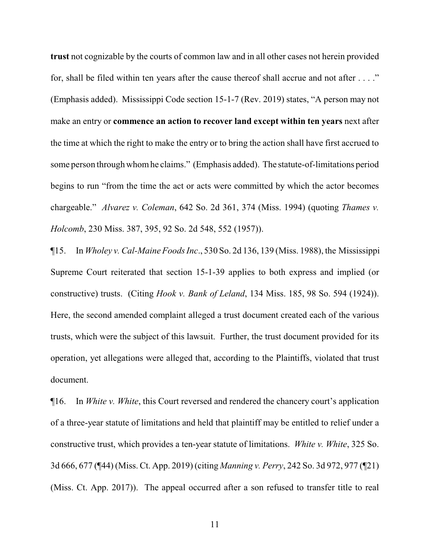**trust** not cognizable by the courts of common law and in all other cases not herein provided for, shall be filed within ten years after the cause thereof shall accrue and not after . . . ." (Emphasis added). Mississippi Code section 15-1-7 (Rev. 2019) states, "A person may not make an entry or **commence an action to recover land except within ten years** next after the time at which the right to make the entry or to bring the action shall have first accrued to some person through whomhe claims." (Emphasis added). The statute-of-limitations period begins to run "from the time the act or acts were committed by which the actor becomes chargeable." *Alvarez v. Coleman*, 642 So. 2d 361, 374 (Miss. 1994) (quoting *Thames v. Holcomb*, 230 Miss. 387, 395, 92 So. 2d 548, 552 (1957)).

¶15. In *Wholey v. Cal-Maine Foods Inc*., 530 So. 2d 136, 139 (Miss. 1988), the Mississippi Supreme Court reiterated that section 15-1-39 applies to both express and implied (or constructive) trusts. (Citing *Hook v. Bank of Leland*, 134 Miss. 185, 98 So. 594 (1924)). Here, the second amended complaint alleged a trust document created each of the various trusts, which were the subject of this lawsuit. Further, the trust document provided for its operation, yet allegations were alleged that, according to the Plaintiffs, violated that trust document.

¶16. In *White v. White*, this Court reversed and rendered the chancery court's application of a three-year statute of limitations and held that plaintiff may be entitled to relief under a constructive trust, which provides a ten-year statute of limitations. *White v. White*, 325 So. 3d 666, 677 (¶44) (Miss. Ct. App. 2019) (citing *Manning v. Perry*, 242 So. 3d 972, 977 (¶21) (Miss. Ct. App. 2017)). The appeal occurred after a son refused to transfer title to real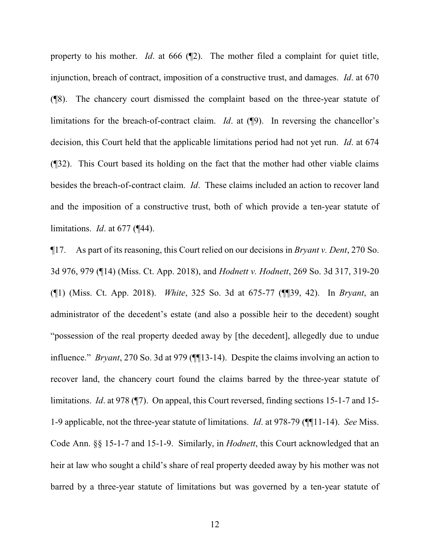property to his mother. *Id.* at 666 ( $\mathbb{Z}$ ). The mother filed a complaint for quiet title, injunction, breach of contract, imposition of a constructive trust, and damages. *Id*. at 670 (¶8). The chancery court dismissed the complaint based on the three-year statute of limitations for the breach-of-contract claim. *Id*. at (¶9). In reversing the chancellor's decision, this Court held that the applicable limitations period had not yet run. *Id*. at 674 (¶32). This Court based its holding on the fact that the mother had other viable claims besides the breach-of-contract claim. *Id*. These claims included an action to recover land and the imposition of a constructive trust, both of which provide a ten-year statute of limitations. *Id*. at 677 (¶44).

¶17. As part of its reasoning, this Court relied on our decisions in *Bryant v. Dent*, 270 So. 3d 976, 979 (¶14) (Miss. Ct. App. 2018), and *Hodnett v. Hodnett*, 269 So. 3d 317, 319-20 (¶1) (Miss. Ct. App. 2018). *White*, 325 So. 3d at 675-77 (¶¶39, 42). In *Bryant*, an administrator of the decedent's estate (and also a possible heir to the decedent) sought "possession of the real property deeded away by [the decedent], allegedly due to undue influence." *Bryant*, 270 So. 3d at 979 (¶¶13-14). Despite the claims involving an action to recover land, the chancery court found the claims barred by the three-year statute of limitations. *Id*. at 978 (¶7). On appeal, this Court reversed, finding sections 15-1-7 and 15- 1-9 applicable, not the three-year statute of limitations. *Id*. at 978-79 (¶¶11-14). *See* Miss. Code Ann. §§ 15-1-7 and 15-1-9. Similarly, in *Hodnett*, this Court acknowledged that an heir at law who sought a child's share of real property deeded away by his mother was not barred by a three-year statute of limitations but was governed by a ten-year statute of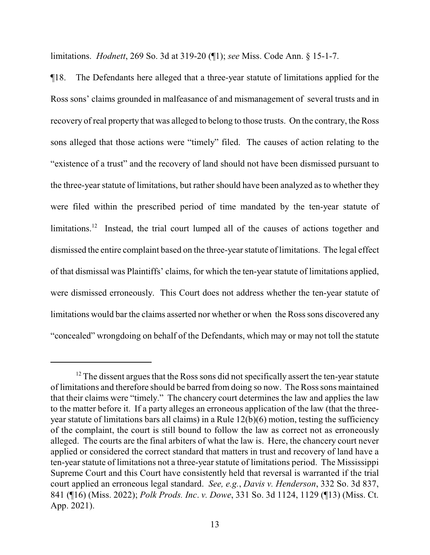limitations. *Hodnett*, 269 So. 3d at 319-20 (¶1); *see* Miss. Code Ann. § 15-1-7.

¶18. The Defendants here alleged that a three-year statute of limitations applied for the Ross sons' claims grounded in malfeasance of and mismanagement of several trusts and in recovery of real property that was alleged to belong to those trusts. On the contrary, the Ross sons alleged that those actions were "timely" filed. The causes of action relating to the "existence of a trust" and the recovery of land should not have been dismissed pursuant to the three-year statute of limitations, but rather should have been analyzed as to whether they were filed within the prescribed period of time mandated by the ten-year statute of limitations.<sup>12</sup> Instead, the trial court lumped all of the causes of actions together and dismissed the entire complaint based on the three-year statute of limitations. The legal effect of that dismissal was Plaintiffs' claims, for which the ten-year statute of limitations applied, were dismissed erroneously. This Court does not address whether the ten-year statute of limitations would bar the claims asserted nor whether or when the Ross sons discovered any "concealed" wrongdoing on behalf of the Defendants, which may or may not toll the statute

 $12$  The dissent argues that the Ross sons did not specifically assert the ten-year statute of limitations and therefore should be barred from doing so now. The Ross sons maintained that their claims were "timely." The chancery court determines the law and applies the law to the matter before it. If a party alleges an erroneous application of the law (that the threeyear statute of limitations bars all claims) in a Rule 12(b)(6) motion, testing the sufficiency of the complaint, the court is still bound to follow the law as correct not as erroneously alleged. The courts are the final arbiters of what the law is. Here, the chancery court never applied or considered the correct standard that matters in trust and recovery of land have a ten-year statute of limitations not a three-year statute of limitations period. The Mississippi Supreme Court and this Court have consistently held that reversal is warranted if the trial court applied an erroneous legal standard. *See, e.g.*, *Davis v. Henderson*, 332 So. 3d 837, 841 (¶16) (Miss. 2022); *Polk Prods. Inc*. *v. Dowe*, 331 So. 3d 1124, 1129 (¶13) (Miss. Ct. App. 2021).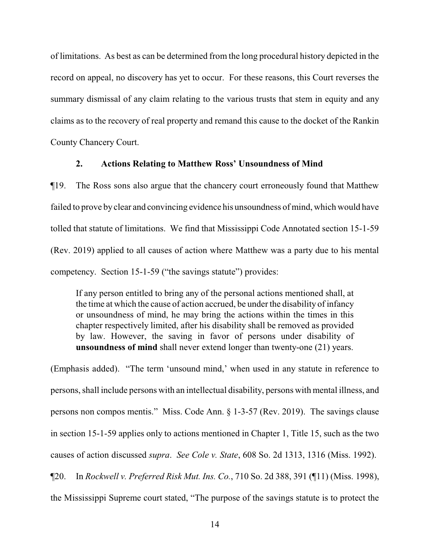of limitations. As best as can be determined from the long procedural history depicted in the record on appeal, no discovery has yet to occur. For these reasons, this Court reverses the summary dismissal of any claim relating to the various trusts that stem in equity and any claims as to the recovery of real property and remand this cause to the docket of the Rankin County Chancery Court.

#### **2. Actions Relating to Matthew Ross' Unsoundness of Mind**

¶19. The Ross sons also argue that the chancery court erroneously found that Matthew failed to prove by clear and convincing evidence his unsoundness of mind, which would have tolled that statute of limitations. We find that Mississippi Code Annotated section 15-1-59 (Rev. 2019) applied to all causes of action where Matthew was a party due to his mental competency. Section 15-1-59 ("the savings statute") provides:

If any person entitled to bring any of the personal actions mentioned shall, at the time at which the cause of action accrued, be under the disability of infancy or unsoundness of mind, he may bring the actions within the times in this chapter respectively limited, after his disability shall be removed as provided by law. However, the saving in favor of persons under disability of **unsoundness of mind** shall never extend longer than twenty-one (21) years.

(Emphasis added). "The term 'unsound mind,' when used in any statute in reference to persons, shall include persons with an intellectual disability, persons with mental illness, and persons non compos mentis." Miss. Code Ann. § 1-3-57 (Rev. 2019). The savings clause in section 15-1-59 applies only to actions mentioned in Chapter 1, Title 15, such as the two causes of action discussed *supra*. *See Cole v. State*, 608 So. 2d 1313, 1316 (Miss. 1992). ¶20. In *Rockwell v. Preferred Risk Mut. Ins. Co.*, 710 So. 2d 388, 391 (¶11) (Miss. 1998),

the Mississippi Supreme court stated, "The purpose of the savings statute is to protect the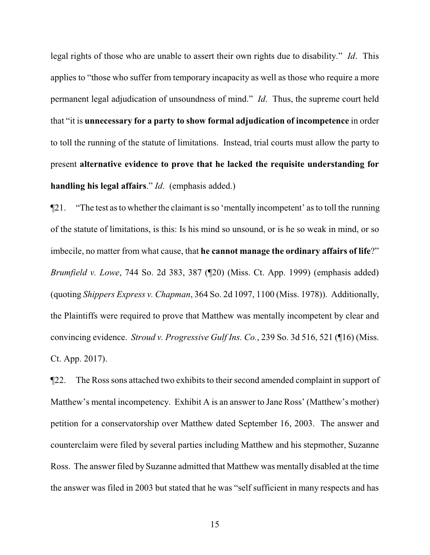legal rights of those who are unable to assert their own rights due to disability." *Id*. This applies to "those who suffer from temporary incapacity as well as those who require a more permanent legal adjudication of unsoundness of mind." *Id*. Thus, the supreme court held that "it is **unnecessary for a party to show formal adjudication of incompetence** in order to toll the running of the statute of limitations. Instead, trial courts must allow the party to present **alternative evidence to prove that he lacked the requisite understanding for handling his legal affairs**." *Id*. (emphasis added.)

¶21. "The test as to whether the claimant is so 'mentally incompetent' as to toll the running of the statute of limitations, is this: Is his mind so unsound, or is he so weak in mind, or so imbecile, no matter from what cause, that **he cannot manage the ordinary affairs of life**?" *Brumfield v. Lowe*, 744 So. 2d 383, 387 (¶20) (Miss. Ct. App. 1999) (emphasis added) (quoting *Shippers Express v. Chapman*, 364 So. 2d 1097, 1100 (Miss. 1978)). Additionally, the Plaintiffs were required to prove that Matthew was mentally incompetent by clear and convincing evidence. *Stroud v. Progressive Gulf Ins. Co.*, 239 So. 3d 516, 521 (¶16) (Miss. Ct. App. 2017).

¶22. The Ross sons attached two exhibits to their second amended complaint in support of Matthew's mental incompetency. Exhibit A is an answer to Jane Ross' (Matthew's mother) petition for a conservatorship over Matthew dated September 16, 2003. The answer and counterclaim were filed by several parties including Matthew and his stepmother, Suzanne Ross. The answer filed by Suzanne admitted that Matthew was mentally disabled at the time the answer was filed in 2003 but stated that he was "self sufficient in many respects and has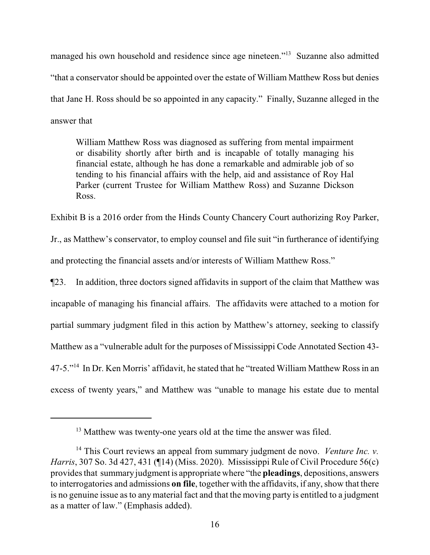managed his own household and residence since age nineteen."<sup>13</sup> Suzanne also admitted "that a conservator should be appointed over the estate of William Matthew Ross but denies that Jane H. Ross should be so appointed in any capacity." Finally, Suzanne alleged in the answer that

William Matthew Ross was diagnosed as suffering from mental impairment or disability shortly after birth and is incapable of totally managing his financial estate, although he has done a remarkable and admirable job of so tending to his financial affairs with the help, aid and assistance of Roy Hal Parker (current Trustee for William Matthew Ross) and Suzanne Dickson Ross.

Exhibit B is a 2016 order from the Hinds County Chancery Court authorizing Roy Parker, Jr., as Matthew's conservator, to employ counsel and file suit "in furtherance of identifying and protecting the financial assets and/or interests of William Matthew Ross."

¶23. In addition, three doctors signed affidavits in support of the claim that Matthew was incapable of managing his financial affairs. The affidavits were attached to a motion for partial summary judgment filed in this action by Matthew's attorney, seeking to classify Matthew as a "vulnerable adult for the purposes of Mississippi Code Annotated Section 43- 47-5."<sup>14</sup> In Dr. Ken Morris' affidavit, he stated that he "treated William Matthew Ross in an excess of twenty years," and Matthew was "unable to manage his estate due to mental

<sup>&</sup>lt;sup>13</sup> Matthew was twenty-one years old at the time the answer was filed.

<sup>14</sup> This Court reviews an appeal from summary judgment de novo. *Venture Inc. v. Harris*, 307 So. 3d 427, 431 (¶14) (Miss. 2020). Mississippi Rule of Civil Procedure 56(c) provides that summary judgment is appropriate where "the **pleadings**, depositions, answers to interrogatories and admissions **on file**, together with the affidavits, if any, show that there is no genuine issue as to anymaterial fact and that the moving party is entitled to a judgment as a matter of law." (Emphasis added).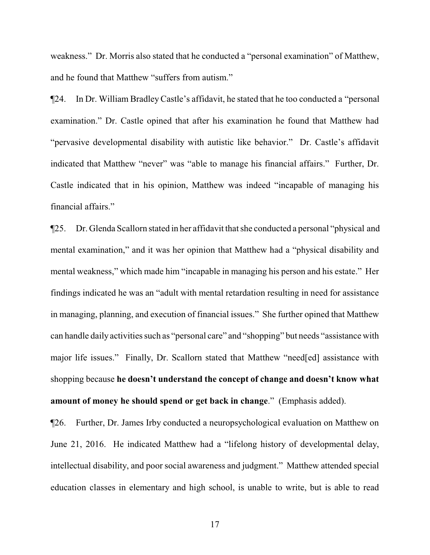weakness." Dr. Morris also stated that he conducted a "personal examination" of Matthew, and he found that Matthew "suffers from autism."

¶24. In Dr. William Bradley Castle's affidavit, he stated that he too conducted a "personal examination." Dr. Castle opined that after his examination he found that Matthew had "pervasive developmental disability with autistic like behavior." Dr. Castle's affidavit indicated that Matthew "never" was "able to manage his financial affairs." Further, Dr. Castle indicated that in his opinion, Matthew was indeed "incapable of managing his financial affairs."

¶25. Dr. Glenda Scallorn stated in her affidavit that she conducted a personal "physical and mental examination," and it was her opinion that Matthew had a "physical disability and mental weakness," which made him "incapable in managing his person and his estate." Her findings indicated he was an "adult with mental retardation resulting in need for assistance in managing, planning, and execution of financial issues." She further opined that Matthew can handle daily activities such as "personal care" and "shopping" but needs "assistance with major life issues." Finally, Dr. Scallorn stated that Matthew "need[ed] assistance with shopping because **he doesn't understand the concept of change and doesn't know what amount of money he should spend or get back in change**." (Emphasis added).

¶26. Further, Dr. James Irby conducted a neuropsychological evaluation on Matthew on June 21, 2016. He indicated Matthew had a "lifelong history of developmental delay, intellectual disability, and poor social awareness and judgment." Matthew attended special education classes in elementary and high school, is unable to write, but is able to read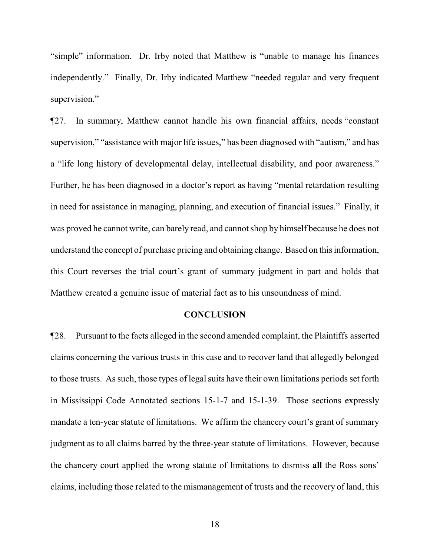"simple" information. Dr. Irby noted that Matthew is "unable to manage his finances independently." Finally, Dr. Irby indicated Matthew "needed regular and very frequent supervision."

¶27. In summary, Matthew cannot handle his own financial affairs, needs "constant supervision," "assistance with major life issues," has been diagnosed with "autism," and has a "life long history of developmental delay, intellectual disability, and poor awareness." Further, he has been diagnosed in a doctor's report as having "mental retardation resulting in need for assistance in managing, planning, and execution of financial issues." Finally, it was proved he cannot write, can barely read, and cannot shop by himself because he does not understand the concept of purchase pricing and obtaining change. Based on this information, this Court reverses the trial court's grant of summary judgment in part and holds that Matthew created a genuine issue of material fact as to his unsoundness of mind.

#### **CONCLUSION**

¶28. Pursuant to the facts alleged in the second amended complaint, the Plaintiffs asserted claims concerning the various trusts in this case and to recover land that allegedly belonged to those trusts. As such, those types of legal suits have their own limitations periods set forth in Mississippi Code Annotated sections 15-1-7 and 15-1-39. Those sections expressly mandate a ten-year statute of limitations. We affirm the chancery court's grant of summary judgment as to all claims barred by the three-year statute of limitations. However, because the chancery court applied the wrong statute of limitations to dismiss **all** the Ross sons' claims, including those related to the mismanagement of trusts and the recovery of land, this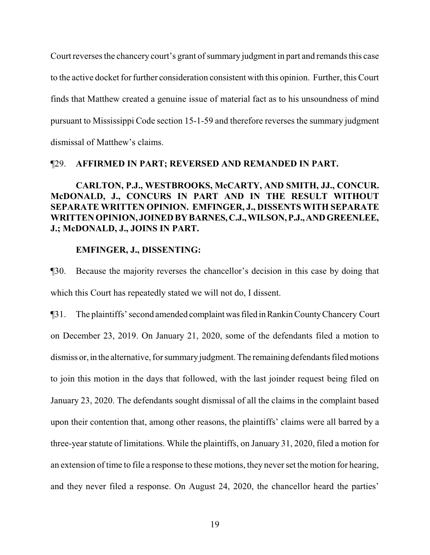Court reverses the chancery court's grant of summary judgment in part and remands this case to the active docket for further consideration consistent with this opinion. Further, this Court finds that Matthew created a genuine issue of material fact as to his unsoundness of mind pursuant to Mississippi Code section 15-1-59 and therefore reverses the summary judgment dismissal of Matthew's claims.

# ¶29. **AFFIRMED IN PART; REVERSED AND REMANDED IN PART.**

**CARLTON, P.J., WESTBROOKS, McCARTY, AND SMITH, JJ., CONCUR. McDONALD, J., CONCURS IN PART AND IN THE RESULT WITHOUT SEPARATE WRITTEN OPINION. EMFINGER, J., DISSENTS WITH SEPARATE WRITTEN OPINION, JOINED BY BARNES,C.J.,WILSON,P.J.,ANDGREENLEE, J.; McDONALD, J., JOINS IN PART.** 

#### **EMFINGER, J., DISSENTING:**

¶30. Because the majority reverses the chancellor's decision in this case by doing that which this Court has repeatedly stated we will not do, I dissent.

¶31. The plaintiffs' second amended complaintwasfiled inRankin CountyChancery Court on December 23, 2019. On January 21, 2020, some of the defendants filed a motion to dismiss or, in the alternative, for summary judgment. The remaining defendants filed motions to join this motion in the days that followed, with the last joinder request being filed on January 23, 2020. The defendants sought dismissal of all the claims in the complaint based upon their contention that, among other reasons, the plaintiffs' claims were all barred by a three-year statute of limitations. While the plaintiffs, on January 31, 2020, filed a motion for an extension of time to file a response to these motions, they never set the motion for hearing, and they never filed a response. On August 24, 2020, the chancellor heard the parties'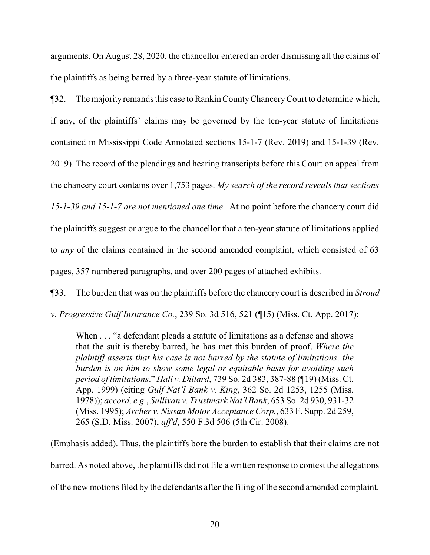arguments. On August 28, 2020, the chancellor entered an order dismissing all the claims of the plaintiffs as being barred by a three-year statute of limitations.

¶32. The majorityremands this case to Rankin CountyChanceryCourt to determine which, if any, of the plaintiffs' claims may be governed by the ten-year statute of limitations contained in Mississippi Code Annotated sections 15-1-7 (Rev. 2019) and 15-1-39 (Rev. 2019). The record of the pleadings and hearing transcripts before this Court on appeal from the chancery court contains over 1,753 pages. *My search of the record reveals that sections 15-1-39 and 15-1-7 are not mentioned one time.* At no point before the chancery court did the plaintiffs suggest or argue to the chancellor that a ten-year statute of limitations applied to *any* of the claims contained in the second amended complaint, which consisted of 63 pages, 357 numbered paragraphs, and over 200 pages of attached exhibits.

¶33. The burden that was on the plaintiffs before the chancery court is described in *Stroud*

*v. Progressive Gulf Insurance Co.*, 239 So. 3d 516, 521 (¶15) (Miss. Ct. App. 2017):

When . . . "a defendant pleads a statute of limitations as a defense and shows that the suit is thereby barred, he has met this burden of proof. *Where the plaintiff asserts that his case is not barred by the statute of limitations, the burden is on him to show some legal or equitable basis for avoiding such period of limitations*." *Hall v. Dillard*, 739 So. 2d 383, 387-88 (¶19) (Miss. Ct. App. 1999) (citing *Gulf Nat'l Bank v. King*, 362 So. 2d 1253, 1255 (Miss. 1978)); *accord, e.g.*, *Sullivan v. Trustmark Nat'l Bank*, 653 So. 2d 930, 931-32 (Miss. 1995); *Archer v. Nissan Motor Acceptance Corp.*, 633 F. Supp. 2d 259, 265 (S.D. Miss. 2007), *aff'd*, 550 F.3d 506 (5th Cir. 2008).

(Emphasis added). Thus, the plaintiffs bore the burden to establish that their claims are not barred. As noted above, the plaintiffs did not file a written response to contest the allegations of the new motions filed by the defendants after the filing of the second amended complaint.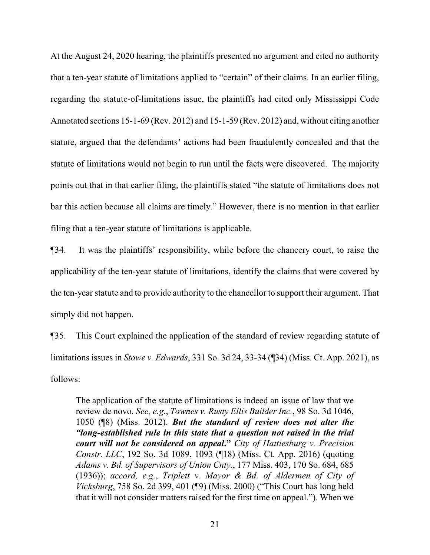At the August 24, 2020 hearing, the plaintiffs presented no argument and cited no authority that a ten-year statute of limitations applied to "certain" of their claims. In an earlier filing, regarding the statute-of-limitations issue, the plaintiffs had cited only Mississippi Code Annotated sections 15-1-69 (Rev. 2012) and 15-1-59 (Rev. 2012) and, without citing another statute, argued that the defendants' actions had been fraudulently concealed and that the statute of limitations would not begin to run until the facts were discovered. The majority points out that in that earlier filing, the plaintiffs stated "the statute of limitations does not bar this action because all claims are timely." However, there is no mention in that earlier filing that a ten-year statute of limitations is applicable.

¶34. It was the plaintiffs' responsibility, while before the chancery court, to raise the applicability of the ten-year statute of limitations, identify the claims that were covered by the ten-year statute and to provide authority to the chancellor to support their argument. That simply did not happen.

¶35. This Court explained the application of the standard of review regarding statute of limitations issues in *Stowe v. Edwards*, 331 So. 3d 24, 33-34 (¶34) (Miss. Ct. App. 2021), as follows:

The application of the statute of limitations is indeed an issue of law that we review de novo. *See, e.g*., *Townes v. Rusty Ellis Builder Inc.*, 98 So. 3d 1046, 1050 (¶8) (Miss. 2012). *But the standard of review does not alter the "long-established rule in this state that a question not raised in the trial court will not be considered on appeal***."** *City of Hattiesburg v. Precision Constr. LLC*, 192 So. 3d 1089, 1093 (¶18) (Miss. Ct. App. 2016) (quoting *Adams v. Bd. of Supervisors of Union Cnty.*, 177 Miss. 403, 170 So. 684, 685 (1936)); *accord, e.g.*, *Triplett v. Mayor & Bd. of Aldermen of City of Vicksburg*, 758 So. 2d 399, 401 (¶9) (Miss. 2000) ("This Court has long held that it will not consider matters raised for the first time on appeal."). When we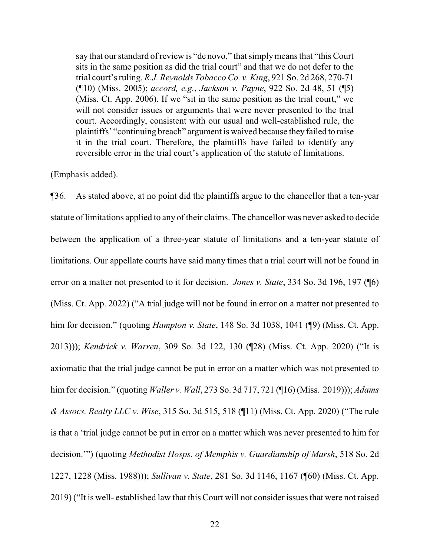say that our standard of review is "de novo," that simplymeans that "this Court sits in the same position as did the trial court" and that we do not defer to the trial court's ruling. *R.J. Reynolds Tobacco Co. v. King*, 921 So. 2d 268, 270-71 (¶10) (Miss. 2005); *accord, e.g.*, *Jackson v. Payne*, 922 So. 2d 48, 51 (¶5) (Miss. Ct. App. 2006). If we "sit in the same position as the trial court," we will not consider issues or arguments that were never presented to the trial court. Accordingly, consistent with our usual and well-established rule, the plaintiffs' "continuing breach" argument is waived because they failed to raise it in the trial court. Therefore, the plaintiffs have failed to identify any reversible error in the trial court's application of the statute of limitations.

(Emphasis added).

¶36. As stated above, at no point did the plaintiffs argue to the chancellor that a ten-year statute of limitations applied to any of their claims. The chancellor was never asked to decide between the application of a three-year statute of limitations and a ten-year statute of limitations. Our appellate courts have said many times that a trial court will not be found in error on a matter not presented to it for decision. *Jones v. State*, 334 So. 3d 196, 197 (¶6) (Miss. Ct. App. 2022) ("A trial judge will not be found in error on a matter not presented to him for decision." (quoting *Hampton v. State*, 148 So. 3d 1038, 1041 (¶9) (Miss. Ct. App. 2013))); *Kendrick v. Warren*, 309 So. 3d 122, 130 (¶28) (Miss. Ct. App. 2020) ("It is axiomatic that the trial judge cannot be put in error on a matter which was not presented to him for decision." (quoting *Waller v. Wall*, 273 So. 3d 717, 721 (¶16) (Miss. 2019))); *Adams & Assocs. Realty LLC v. Wise*, 315 So. 3d 515, 518 (¶11) (Miss. Ct. App. 2020) ("The rule is that a 'trial judge cannot be put in error on a matter which was never presented to him for decision.'") (quoting *Methodist Hosps. of Memphis v. Guardianship of Marsh*, 518 So. 2d 1227, 1228 (Miss. 1988))); *Sullivan v. State*, 281 So. 3d 1146, 1167 (¶60) (Miss. Ct. App. 2019) ("It is well- established law that this Court will not consider issues that were not raised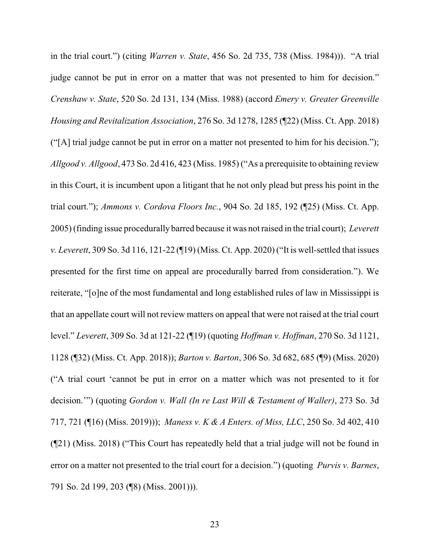in the trial court.") (citing *Warren v. State*, 456 So. 2d 735, 738 (Miss. 1984))). "A trial judge cannot be put in error on a matter that was not presented to him for decision." *Crenshaw v. State*, 520 So. 2d 131, 134 (Miss. 1988) (accord *Emery v. Greater Greenville Housing and Revitalization Association*, 276 So. 3d 1278, 1285 (¶22) (Miss. Ct. App. 2018) ("[A] trial judge cannot be put in error on a matter not presented to him for his decision."); *Allgood v. Allgood*, 473 So. 2d 416, 423 (Miss. 1985) ("As a prerequisite to obtaining review in this Court, it is incumbent upon a litigant that he not only plead but press his point in the trial court."); *Ammons v. Cordova Floors Inc.*, 904 So. 2d 185, 192 (¶25) (Miss. Ct. App. 2005) (finding issue procedurally barred because it was not raised in the trial court); *Leverett v. Leverett*, 309 So. 3d 116, 121-22 (¶19) (Miss. Ct. App. 2020) ("It is well-settled that issues presented for the first time on appeal are procedurally barred from consideration."). We reiterate, "[o]ne of the most fundamental and long established rules of law in Mississippi is that an appellate court will not review matters on appeal that were not raised at the trial court level." *Leverett*, 309 So. 3d at 121-22 (¶19) (quoting *Hoffman v. Hoffman*, 270 So. 3d 1121, 1128 (¶32) (Miss. Ct. App. 2018)); *Barton v. Barton*, 306 So. 3d 682, 685 (¶9) (Miss. 2020) ("A trial court 'cannot be put in error on a matter which was not presented to it for decision.'") (quoting *Gordon v. Wall (In re Last Will & Testament of Waller)*, 273 So. 3d 717, 721 (¶16) (Miss. 2019))); *Maness v. K & A Enters. of Miss, LLC*, 250 So. 3d 402, 410 (¶21) (Miss. 2018) ("This Court has repeatedly held that a trial judge will not be found in error on a matter not presented to the trial court for a decision.") (quoting *Purvis v. Barnes*, 791 So. 2d 199, 203 (¶8) (Miss. 2001))).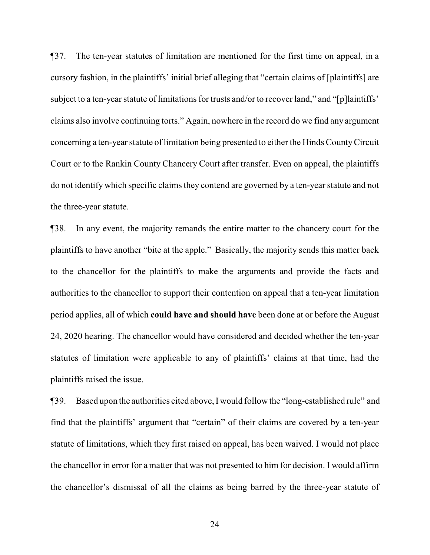¶37. The ten-year statutes of limitation are mentioned for the first time on appeal, in a cursory fashion, in the plaintiffs' initial brief alleging that "certain claims of [plaintiffs] are subject to a ten-year statute of limitations for trusts and/or to recover land," and "[p]laintiffs' claims also involve continuing torts." Again, nowhere in the record do we find any argument concerning a ten-year statute of limitation being presented to either the Hinds CountyCircuit Court or to the Rankin County Chancery Court after transfer. Even on appeal, the plaintiffs do not identify which specific claims they contend are governed by a ten-year statute and not the three-year statute.

¶38. In any event, the majority remands the entire matter to the chancery court for the plaintiffs to have another "bite at the apple." Basically, the majority sends this matter back to the chancellor for the plaintiffs to make the arguments and provide the facts and authorities to the chancellor to support their contention on appeal that a ten-year limitation period applies, all of which **could have and should have** been done at or before the August 24, 2020 hearing. The chancellor would have considered and decided whether the ten-year statutes of limitation were applicable to any of plaintiffs' claims at that time, had the plaintiffs raised the issue.

¶39. Based upon the authorities cited above, I would follow the "long-established rule" and find that the plaintiffs' argument that "certain" of their claims are covered by a ten-year statute of limitations, which they first raised on appeal, has been waived. I would not place the chancellor in error for a matter that was not presented to him for decision. I would affirm the chancellor's dismissal of all the claims as being barred by the three-year statute of

24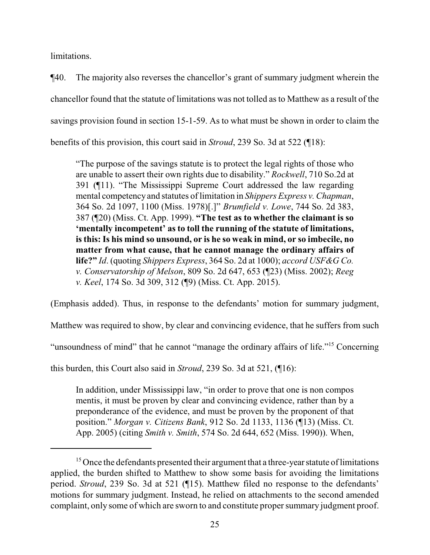limitations.

¶40. The majority also reverses the chancellor's grant of summary judgment wherein the chancellor found that the statute of limitations was not tolled asto Matthew as a result of the savings provision found in section 15-1-59. As to what must be shown in order to claim the benefits of this provision, this court said in *Stroud*, 239 So. 3d at 522 (¶18):

"The purpose of the savings statute is to protect the legal rights of those who are unable to assert their own rights due to disability." *Rockwell*, 710 So.2d at 391 (¶11). "The Mississippi Supreme Court addressed the law regarding mental competency and statutes of limitation in *Shippers Express v. Chapman*, 364 So. 2d 1097, 1100 (Miss. 1978)[.]" *Brumfield v. Lowe*, 744 So. 2d 383, 387 (¶20) (Miss. Ct. App. 1999). **"The test as to whether the claimant is so 'mentally incompetent' as to toll the running of the statute of limitations, is this: Is his mind so unsound, or is he so weak in mind, or so imbecile, no matter from what cause, that he cannot manage the ordinary affairs of life?"** *Id*. (quoting *Shippers Express*, 364 So. 2d at 1000); *accord USF&G Co. v. Conservatorship of Melson*, 809 So. 2d 647, 653 (¶23) (Miss. 2002); *Reeg v. Keel*, 174 So. 3d 309, 312 (¶9) (Miss. Ct. App. 2015).

(Emphasis added). Thus, in response to the defendants' motion for summary judgment,

Matthew was required to show, by clear and convincing evidence, that he suffers from such

"unsoundness of mind" that he cannot "manage the ordinary affairs of life."<sup>15</sup> Concerning

this burden, this Court also said in *Stroud*, 239 So. 3d at 521, (¶16):

In addition, under Mississippi law, "in order to prove that one is non compos mentis, it must be proven by clear and convincing evidence, rather than by a preponderance of the evidence, and must be proven by the proponent of that position." *Morgan v. Citizens Bank*, 912 So. 2d 1133, 1136 (¶13) (Miss. Ct. App. 2005) (citing *Smith v. Smith*, 574 So. 2d 644, 652 (Miss. 1990)). When,

<sup>&</sup>lt;sup>15</sup> Once the defendants presented their argument that a three-year statute of limitations applied, the burden shifted to Matthew to show some basis for avoiding the limitations period. *Stroud*, 239 So. 3d at 521 (¶15). Matthew filed no response to the defendants' motions for summary judgment. Instead, he relied on attachments to the second amended complaint, only some of which are sworn to and constitute proper summary judgment proof.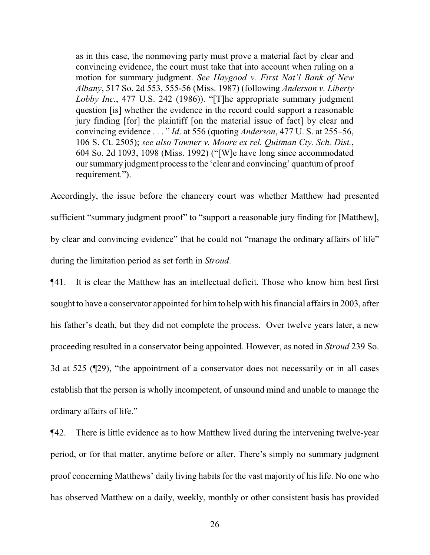as in this case, the nonmoving party must prove a material fact by clear and convincing evidence, the court must take that into account when ruling on a motion for summary judgment. *See Haygood v. First Nat'l Bank of New Albany*, 517 So. 2d 553, 555-56 (Miss. 1987) (following *Anderson v. Liberty Lobby Inc.*, 477 U.S. 242 (1986)). "[T]he appropriate summary judgment question [is] whether the evidence in the record could support a reasonable jury finding [for] the plaintiff [on the material issue of fact] by clear and convincing evidence . . . " *Id*. at 556 (quoting *Anderson*, 477 U. S. at 255–56, 106 S. Ct. 2505); *see also Towner v. Moore ex rel. Quitman Cty. Sch. Dist.*, 604 So. 2d 1093, 1098 (Miss. 1992) ("[W]e have long since accommodated our summary judgment process to the 'clear and convincing' quantum of proof requirement.").

Accordingly, the issue before the chancery court was whether Matthew had presented sufficient "summary judgment proof" to "support a reasonable jury finding for [Matthew], by clear and convincing evidence" that he could not "manage the ordinary affairs of life" during the limitation period as set forth in *Stroud*.

¶41. It is clear the Matthew has an intellectual deficit. Those who know him best first sought to have a conservator appointed for himto help with his financial affairs in 2003, after his father's death, but they did not complete the process. Over twelve years later, a new proceeding resulted in a conservator being appointed. However, as noted in *Stroud* 239 So. 3d at 525 (¶29), "the appointment of a conservator does not necessarily or in all cases establish that the person is wholly incompetent, of unsound mind and unable to manage the ordinary affairs of life."

¶42. There is little evidence as to how Matthew lived during the intervening twelve-year period, or for that matter, anytime before or after. There's simply no summary judgment proof concerning Matthews' daily living habits for the vast majority of his life. No one who has observed Matthew on a daily, weekly, monthly or other consistent basis has provided